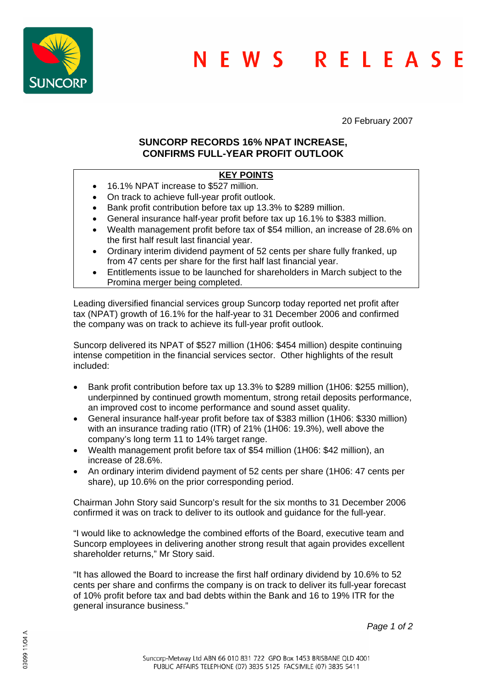

20 February 2007

## **SUNCORP RECORDS 16% NPAT INCREASE, CONFIRMS FULL-YEAR PROFIT OUTLOOK**

# **KEY POINTS**

- 16.1% NPAT increase to \$527 million.
- On track to achieve full-year profit outlook.
- Bank profit contribution before tax up 13.3% to \$289 million.
- General insurance half-year profit before tax up 16.1% to \$383 million.
- Wealth management profit before tax of \$54 million, an increase of 28.6% on the first half result last financial year.
- Ordinary interim dividend payment of 52 cents per share fully franked, up from 47 cents per share for the first half last financial year.
- Entitlements issue to be launched for shareholders in March subject to the Promina merger being completed.

Leading diversified financial services group Suncorp today reported net profit after tax (NPAT) growth of 16.1% for the half-year to 31 December 2006 and confirmed the company was on track to achieve its full-year profit outlook.

Suncorp delivered its NPAT of \$527 million (1H06: \$454 million) despite continuing intense competition in the financial services sector. Other highlights of the result included:

- Bank profit contribution before tax up 13.3% to \$289 million (1H06: \$255 million), underpinned by continued growth momentum, strong retail deposits performance, an improved cost to income performance and sound asset quality.
- General insurance half-year profit before tax of \$383 million (1H06: \$330 million) with an insurance trading ratio (ITR) of 21% (1H06: 19.3%), well above the company's long term 11 to 14% target range.
- Wealth management profit before tax of \$54 million (1H06: \$42 million), an increase of 28.6%.
- An ordinary interim dividend payment of 52 cents per share (1H06: 47 cents per share), up 10.6% on the prior corresponding period.

Chairman John Story said Suncorp's result for the six months to 31 December 2006 confirmed it was on track to deliver to its outlook and guidance for the full-year.

"I would like to acknowledge the combined efforts of the Board, executive team and Suncorp employees in delivering another strong result that again provides excellent shareholder returns," Mr Story said.

"It has allowed the Board to increase the first half ordinary dividend by 10.6% to 52 cents per share and confirms the company is on track to deliver its full-year forecast of 10% profit before tax and bad debts within the Bank and 16 to 19% ITR for the general insurance business."

*Page 1 of 2*